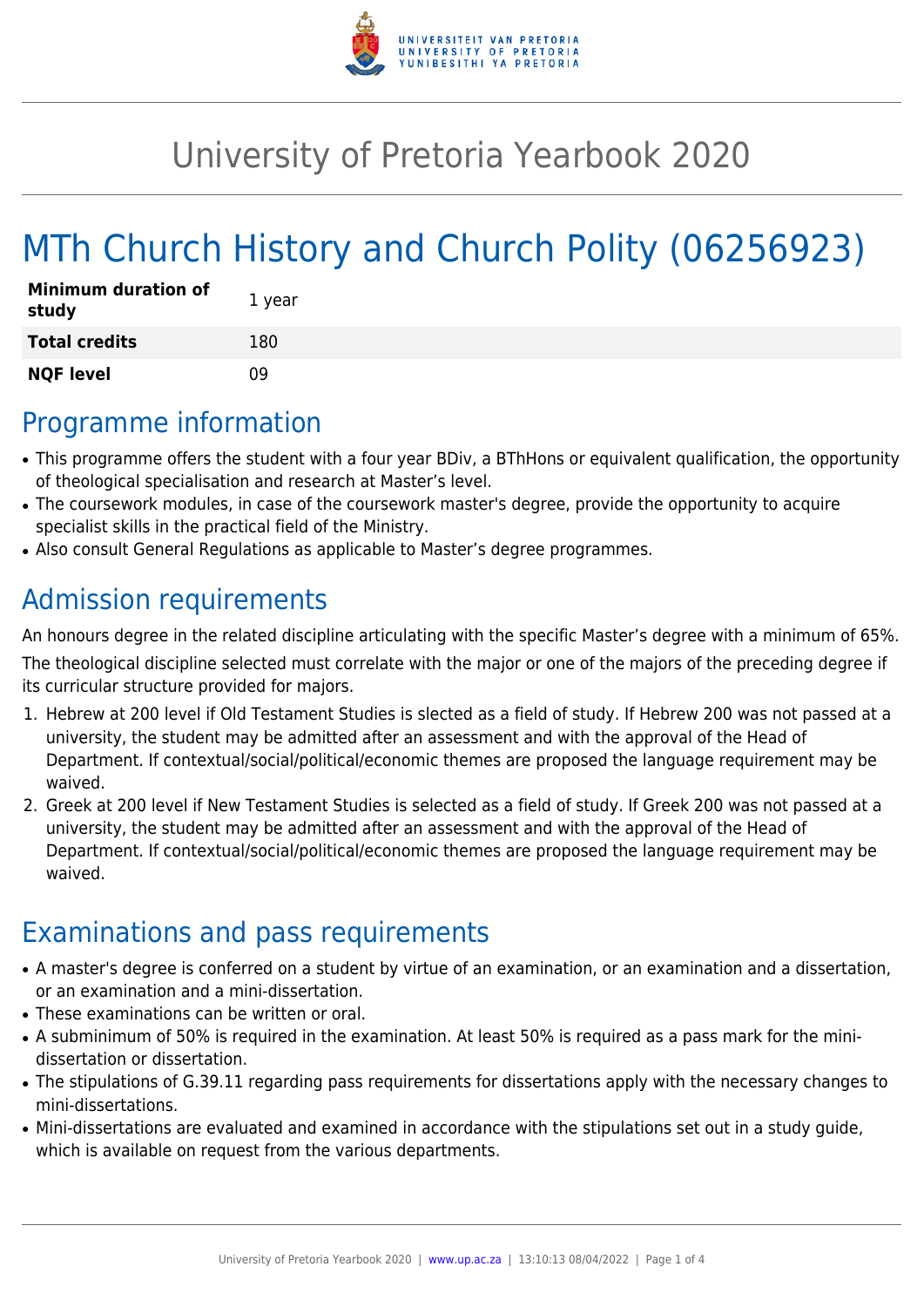

## University of Pretoria Yearbook 2020

# MTh Church History and Church Polity (06256923)

| <b>Minimum duration of</b><br>study | 1 year |
|-------------------------------------|--------|
| <b>Total credits</b>                | 180    |
| <b>NQF level</b>                    | n۹     |

### Programme information

- This programme offers the student with a four year BDiv, a BThHons or equivalent qualification, the opportunity of theological specialisation and research at Master's level.
- The coursework modules, in case of the coursework master's degree, provide the opportunity to acquire specialist skills in the practical field of the Ministry.
- Also consult General Regulations as applicable to Master's degree programmes.

### Admission requirements

An honours degree in the related discipline articulating with the specific Master's degree with a minimum of 65%.

The theological discipline selected must correlate with the major or one of the majors of the preceding degree if its curricular structure provided for majors.

- 1. Hebrew at 200 level if Old Testament Studies is slected as a field of study. If Hebrew 200 was not passed at a university, the student may be admitted after an assessment and with the approval of the Head of Department. If contextual/social/political/economic themes are proposed the language requirement may be waived.
- 2. Greek at 200 level if New Testament Studies is selected as a field of study. If Greek 200 was not passed at a university, the student may be admitted after an assessment and with the approval of the Head of Department. If contextual/social/political/economic themes are proposed the language requirement may be waived.

### Examinations and pass requirements

- A master's degree is conferred on a student by virtue of an examination, or an examination and a dissertation, or an examination and a mini-dissertation.
- These examinations can be written or oral.
- A subminimum of 50% is required in the examination. At least 50% is required as a pass mark for the minidissertation or dissertation.
- The stipulations of G.39.11 regarding pass requirements for dissertations apply with the necessary changes to mini-dissertations.
- Mini-dissertations are evaluated and examined in accordance with the stipulations set out in a study guide, which is available on request from the various departments.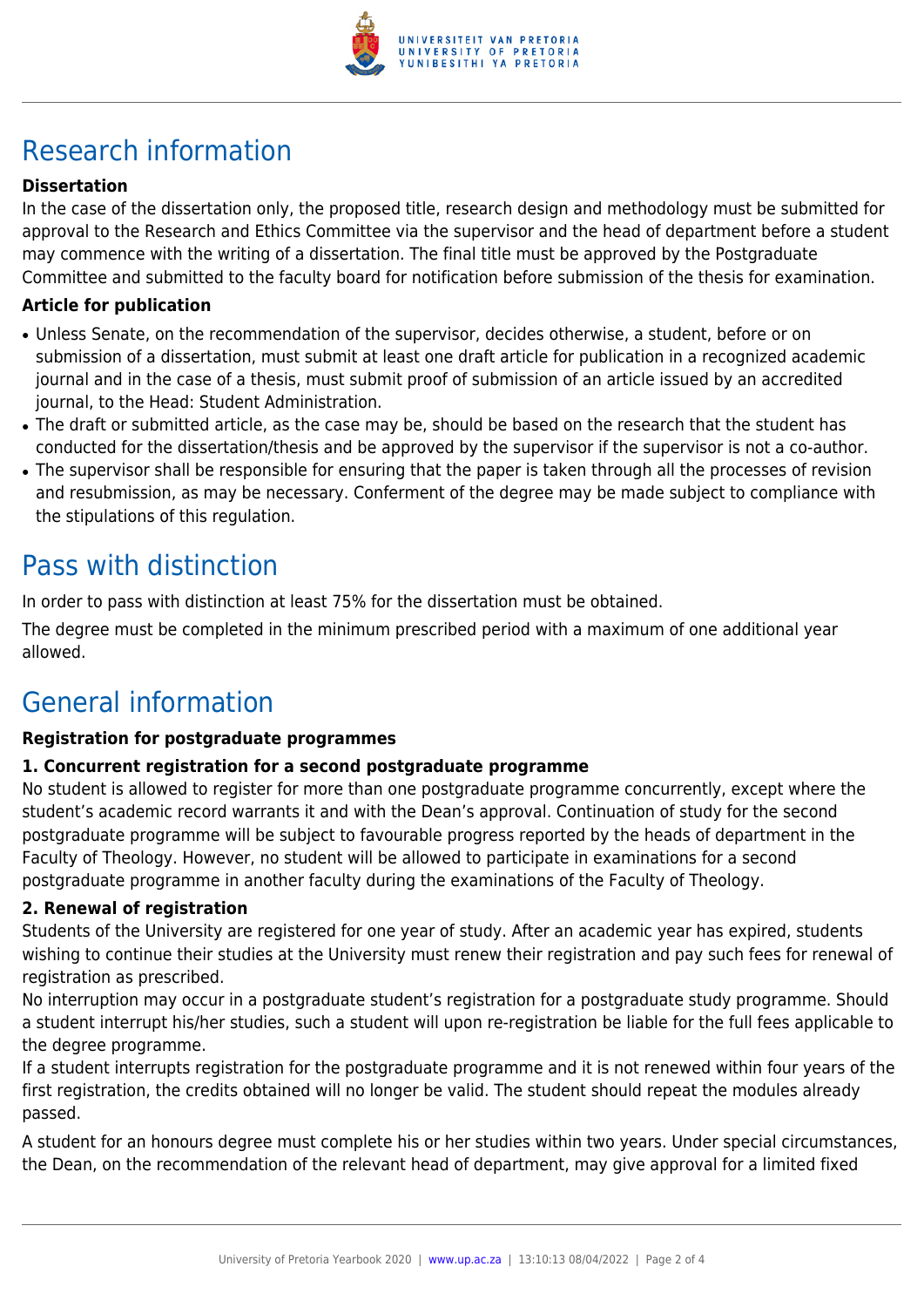

## Research information

#### **Dissertation**

In the case of the dissertation only, the proposed title, research design and methodology must be submitted for approval to the Research and Ethics Committee via the supervisor and the head of department before a student may commence with the writing of a dissertation. The final title must be approved by the Postgraduate Committee and submitted to the faculty board for notification before submission of the thesis for examination.

#### **Article for publication**

- Unless Senate, on the recommendation of the supervisor, decides otherwise, a student, before or on submission of a dissertation, must submit at least one draft article for publication in a recognized academic journal and in the case of a thesis, must submit proof of submission of an article issued by an accredited journal, to the Head: Student Administration.
- The draft or submitted article, as the case may be, should be based on the research that the student has conducted for the dissertation/thesis and be approved by the supervisor if the supervisor is not a co-author.
- The supervisor shall be responsible for ensuring that the paper is taken through all the processes of revision and resubmission, as may be necessary. Conferment of the degree may be made subject to compliance with the stipulations of this regulation.

### Pass with distinction

In order to pass with distinction at least 75% for the dissertation must be obtained.

The degree must be completed in the minimum prescribed period with a maximum of one additional year allowed.

### General information

#### **Registration for postgraduate programmes**

#### **1. Concurrent registration for a second postgraduate programme**

No student is allowed to register for more than one postgraduate programme concurrently, except where the student's academic record warrants it and with the Dean's approval. Continuation of study for the second postgraduate programme will be subject to favourable progress reported by the heads of department in the Faculty of Theology. However, no student will be allowed to participate in examinations for a second postgraduate programme in another faculty during the examinations of the Faculty of Theology.

#### **2. Renewal of registration**

Students of the University are registered for one year of study. After an academic year has expired, students wishing to continue their studies at the University must renew their registration and pay such fees for renewal of registration as prescribed.

No interruption may occur in a postgraduate student's registration for a postgraduate study programme. Should a student interrupt his/her studies, such a student will upon re-registration be liable for the full fees applicable to the degree programme.

If a student interrupts registration for the postgraduate programme and it is not renewed within four years of the first registration, the credits obtained will no longer be valid. The student should repeat the modules already passed.

A student for an honours degree must complete his or her studies within two years. Under special circumstances, the Dean, on the recommendation of the relevant head of department, may give approval for a limited fixed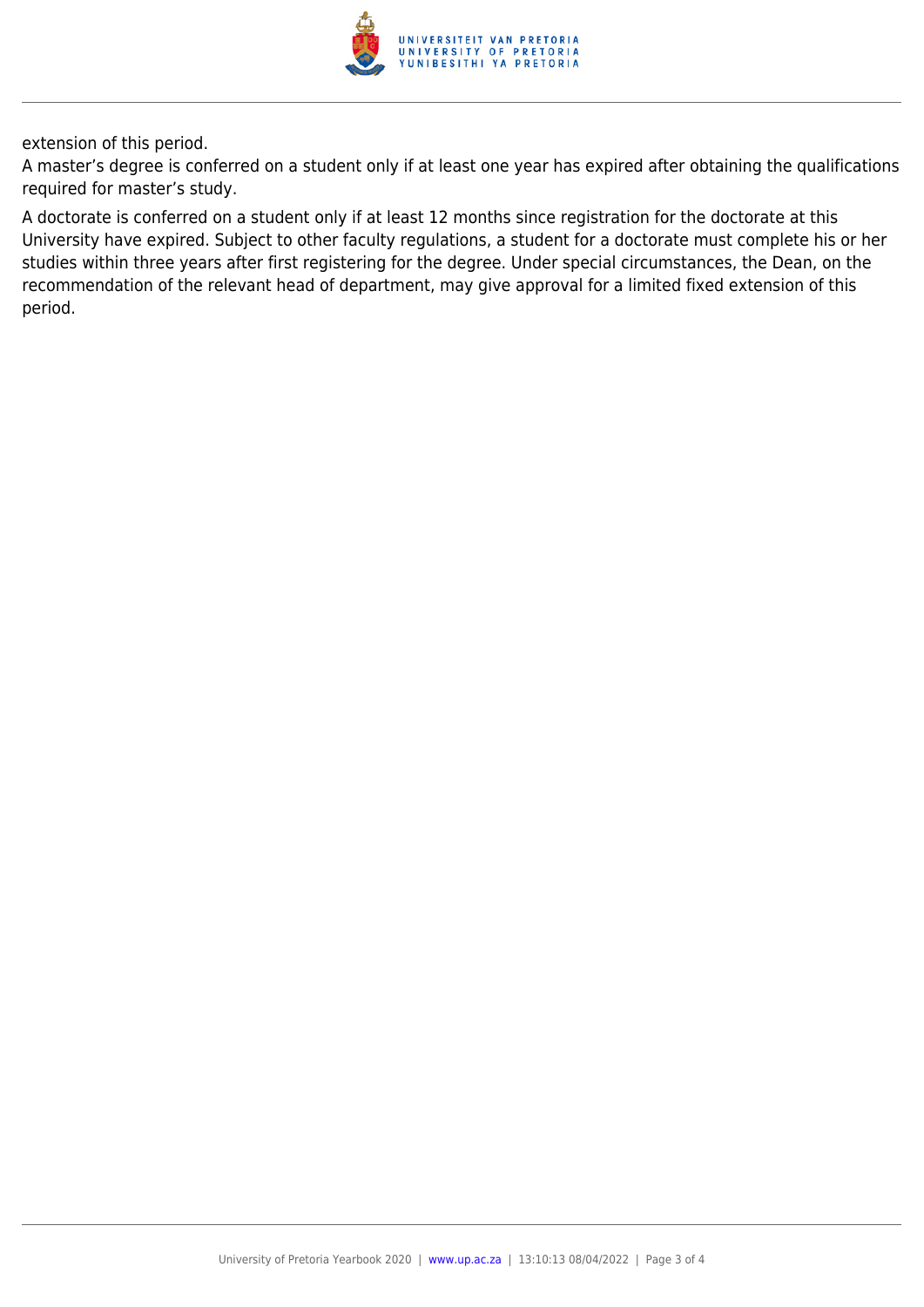

extension of this period.

A master's degree is conferred on a student only if at least one year has expired after obtaining the qualifications required for master's study.

A doctorate is conferred on a student only if at least 12 months since registration for the doctorate at this University have expired. Subject to other faculty regulations, a student for a doctorate must complete his or her studies within three years after first registering for the degree. Under special circumstances, the Dean, on the recommendation of the relevant head of department, may give approval for a limited fixed extension of this period.